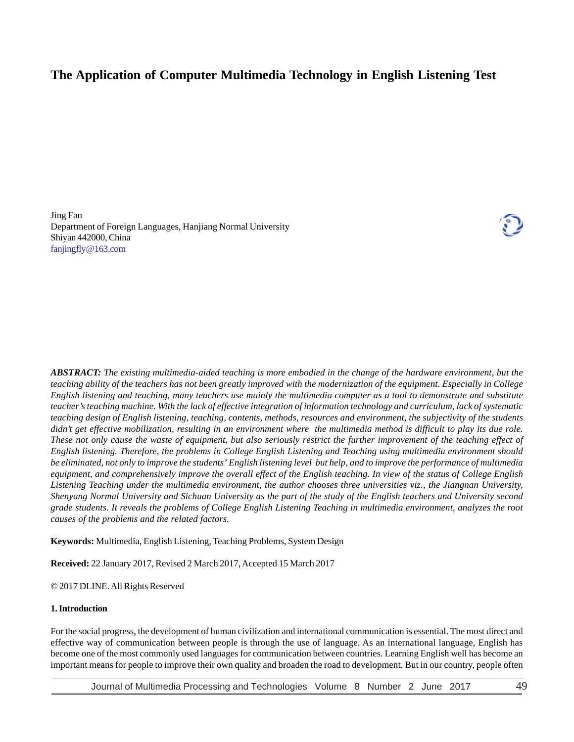# **The Application of Computer Multimedia Technology in English Listening Test**

Jing Fan Department of Foreign Languages, Hanjiang Normal University Shiyan 442000, China fanjingfly@163.com



*ABSTRACT: The existing multimedia-aided teaching is more embodied in the change of the hardware environment, but the teaching ability of the teachers has not been greatly improved with the modernization of the equipment. Especially in College English listening and teaching, many teachers use mainly the multimedia computer as a tool to demonstrate and substitute teacher's teaching machine. With the lack of effective integration of information technology and curriculum, lack of systematic teaching design of English listening, teaching, contents, methods, resources and environment, the subjectivity of the students didn't get effective mobilization, resulting in an environment where the multimedia method is difficult to play its due role. These not only cause the waste of equipment, but also seriously restrict the further improvement of the teaching effect of English listening. Therefore, the problems in College English Listening and Teaching using multimedia environment should be eliminated, not only to improve the students' English listening level but help, and to improve the performance of multimedia equipment, and comprehensively improve the overall effect of the English teaching. In view of the status of College English Listening Teaching under the multimedia environment, the author chooses three universities viz., the Jiangnan University, Shenyang Normal University and Sichuan University as the part of the study of the English teachers and University second grade students. It reveals the problems of College English Listening Teaching in multimedia environment, analyzes the root causes of the problems and the related factors.*

**Keywords:** Multimedia, English Listening, Teaching Problems, System Design

**Received:** 22 January 2017, Revised 2 March 2017, Accepted 15 March 2017

© 2017 DLINE. All Rights Reserved

#### **1. Introduction**

For the social progress, the development of human civilization and international communication is essential. The most direct and effective way of communication between people is through the use of language. As an international language, English has become one of the most commonly used languages for communication between countries. Learning English well has become an important means for people to improve their own quality and broaden the road to development. But in our country, people often

Journal of Multimedia Processing and Technologies Volume 8 Number 2 June 2017 49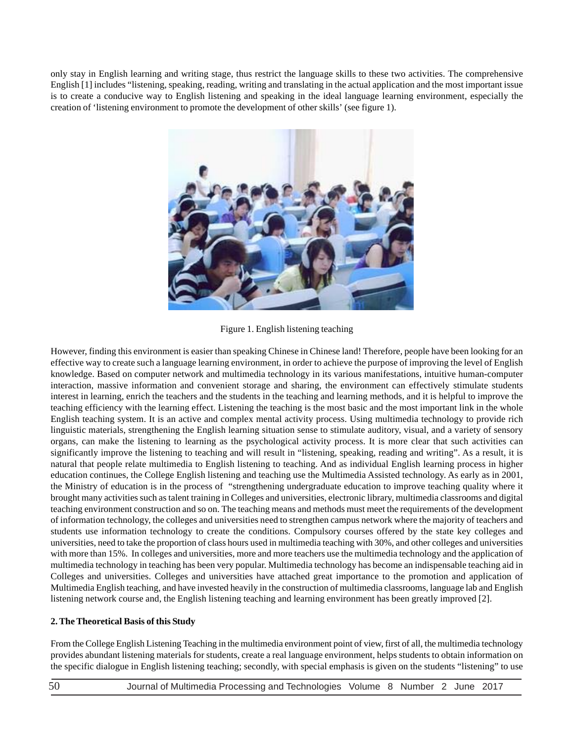only stay in English learning and writing stage, thus restrict the language skills to these two activities. The comprehensive English [1] includes "listening, speaking, reading, writing and translating in the actual application and the most important issue is to create a conducive way to English listening and speaking in the ideal language learning environment, especially the creation of 'listening environment to promote the development of other skills' (see figure 1).



Figure 1. English listening teaching

However, finding this environment is easier than speaking Chinese in Chinese land! Therefore, people have been looking for an effective way to create such a language learning environment, in order to achieve the purpose of improving the level of English knowledge. Based on computer network and multimedia technology in its various manifestations, intuitive human-computer interaction, massive information and convenient storage and sharing, the environment can effectively stimulate students interest in learning, enrich the teachers and the students in the teaching and learning methods, and it is helpful to improve the teaching efficiency with the learning effect. Listening the teaching is the most basic and the most important link in the whole English teaching system. It is an active and complex mental activity process. Using multimedia technology to provide rich linguistic materials, strengthening the English learning situation sense to stimulate auditory, visual, and a variety of sensory organs, can make the listening to learning as the psychological activity process. It is more clear that such activities can significantly improve the listening to teaching and will result in "listening, speaking, reading and writing". As a result, it is natural that people relate multimedia to English listening to teaching. And as individual English learning process in higher education continues, the College English listening and teaching use the Multimedia Assisted technology. As early as in 2001, the Ministry of education is in the process of "strengthening undergraduate education to improve teaching quality where it brought many activities such as talent training in Colleges and universities, electronic library, multimedia classrooms and digital teaching environment construction and so on. The teaching means and methods must meet the requirements of the development of information technology, the colleges and universities need to strengthen campus network where the majority of teachers and students use information technology to create the conditions. Compulsory courses offered by the state key colleges and universities, need to take the proportion of class hours used in multimedia teaching with 30%, and other colleges and universities with more than 15%. In colleges and universities, more and more teachers use the multimedia technology and the application of multimedia technology in teaching has been very popular. Multimedia technology has become an indispensable teaching aid in Colleges and universities. Colleges and universities have attached great importance to the promotion and application of Multimedia English teaching, and have invested heavily in the construction of multimedia classrooms, language lab and English listening network course and, the English listening teaching and learning environment has been greatly improved [2].

## **2. The Theoretical Basis of this Study**

From the College English Listening Teaching in the multimedia environment point of view, first of all, the multimedia technology provides abundant listening materials for students, create a real language environment, helps students to obtain information on the specific dialogue in English listening teaching; secondly, with special emphasis is given on the students "listening" to use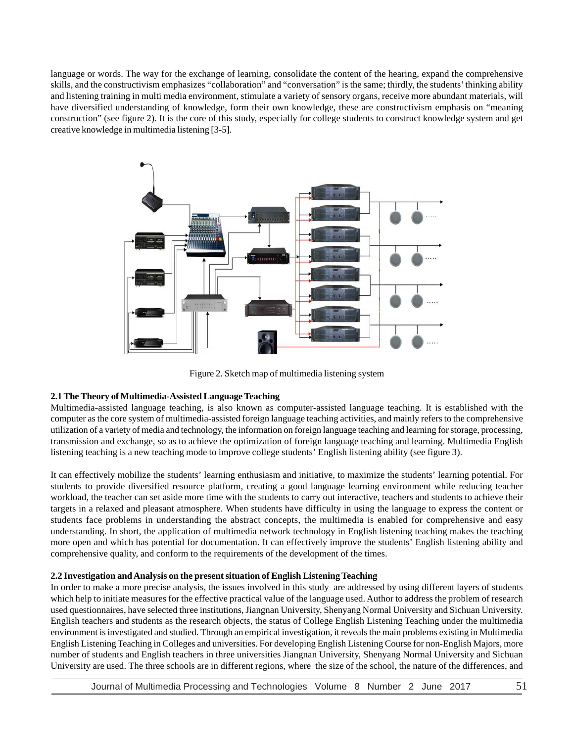language or words. The way for the exchange of learning, consolidate the content of the hearing, expand the comprehensive skills, and the constructivism emphasizes "collaboration" and "conversation" is the same; thirdly, the students' thinking ability and listening training in multi media environment, stimulate a variety of sensory organs, receive more abundant materials, will have diversified understanding of knowledge, form their own knowledge, these are constructivism emphasis on "meaning construction" (see figure 2). It is the core of this study, especially for college students to construct knowledge system and get creative knowledge in multimedia listening [3-5].



Figure 2. Sketch map of multimedia listening system

## **2.1 The Theory of Multimedia-Assisted Language Teaching**

Multimedia-assisted language teaching, is also known as computer-assisted language teaching. It is established with the computer as the core system of multimedia-assisted foreign language teaching activities, and mainly refers to the comprehensive utilization of a variety of media and technology, the information on foreign language teaching and learning for storage, processing, transmission and exchange, so as to achieve the optimization of foreign language teaching and learning. Multimedia English listening teaching is a new teaching mode to improve college students' English listening ability (see figure 3).

It can effectively mobilize the students' learning enthusiasm and initiative, to maximize the students' learning potential. For students to provide diversified resource platform, creating a good language learning environment while reducing teacher workload, the teacher can set aside more time with the students to carry out interactive, teachers and students to achieve their targets in a relaxed and pleasant atmosphere. When students have difficulty in using the language to express the content or students face problems in understanding the abstract concepts, the multimedia is enabled for comprehensive and easy understanding. In short, the application of multimedia network technology in English listening teaching makes the teaching more open and which has potential for documentation. It can effectively improve the students' English listening ability and comprehensive quality, and conform to the requirements of the development of the times.

#### **2.2 Investigation and Analysis on the present situation of English Listening Teaching**

In order to make a more precise analysis, the issues involved in this study are addressed by using different layers of students which help to initiate measures for the effective practical value of the language used. Author to address the problem of research used questionnaires, have selected three institutions, Jiangnan University, Shenyang Normal University and Sichuan University. English teachers and students as the research objects, the status of College English Listening Teaching under the multimedia environment is investigated and studied. Through an empirical investigation, it reveals the main problems existing in Multimedia English Listening Teaching in Colleges and universities. For developing English Listening Course for non-English Majors, more number of students and English teachers in three universities Jiangnan University, Shenyang Normal University and Sichuan University are used. The three schools are in different regions, where the size of the school, the nature of the differences, and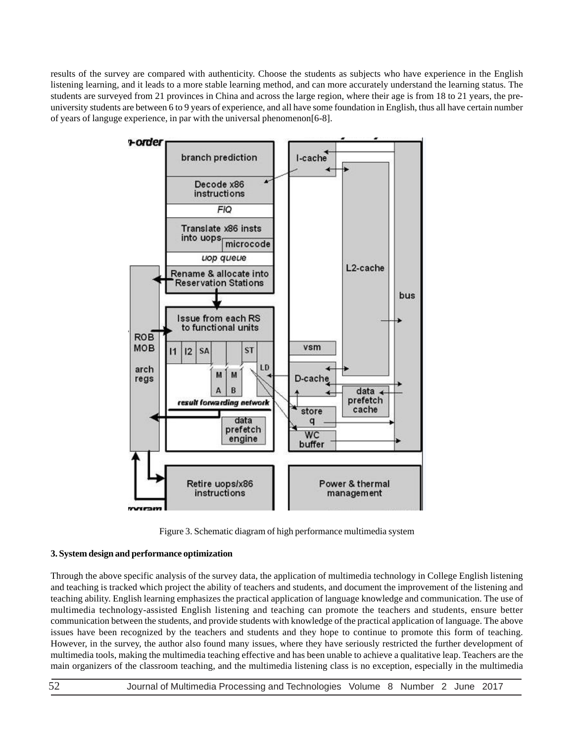results of the survey are compared with authenticity. Choose the students as subjects who have experience in the English listening learning, and it leads to a more stable learning method, and can more accurately understand the learning status. The students are surveyed from 21 provinces in China and across the large region, where their age is from 18 to 21 years, the preuniversity students are between 6 to 9 years of experience, and all have some foundation in English, thus all have certain number of years of languge experience, in par with the universal phenomenon[6-8].



Figure 3. Schematic diagram of high performance multimedia system

## **3. System design and performance optimization**

Through the above specific analysis of the survey data, the application of multimedia technology in College English listening and teaching is tracked which project the ability of teachers and students, and document the improvement of the listening and teaching ability. English learning emphasizes the practical application of language knowledge and communication. The use of multimedia technology-assisted English listening and teaching can promote the teachers and students, ensure better communication between the students, and provide students with knowledge of the practical application of language. The above issues have been recognized by the teachers and students and they hope to continue to promote this form of teaching. However, in the survey, the author also found many issues, where they have seriously restricted the further development of multimedia tools, making the multimedia teaching effective and has been unable to achieve a qualitative leap. Teachers are the main organizers of the classroom teaching, and the multimedia listening class is no exception, especially in the multimedia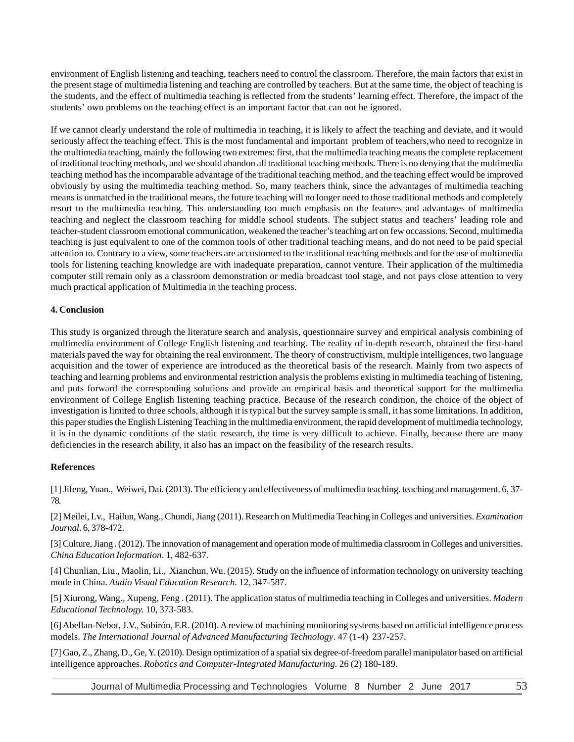environment of English listening and teaching, teachers need to control the classroom. Therefore, the main factors that exist in the present stage of multimedia listening and teaching are controlled by teachers. But at the same time, the object of teaching is the students, and the effect of multimedia teaching is reflected from the students' learning effect. Therefore, the impact of the students' own problems on the teaching effect is an important factor that can not be ignored.

If we cannot clearly understand the role of multimedia in teaching, it is likely to affect the teaching and deviate, and it would seriously affect the teaching effect. This is the most fundamental and important problem of teachers,who need to recognize in the multimedia teaching, mainly the following two extremes: first, that the multimedia teaching means the complete replacement of traditional teaching methods, and we should abandon all traditional teaching methods. There is no denying that the multimedia teaching method has the incomparable advantage of the traditional teaching method, and the teaching effect would be improved obviously by using the multimedia teaching method. So, many teachers think, since the advantages of multimedia teaching means is unmatched in the traditional means, the future teaching will no longer need to those traditional methods and completely resort to the multimedia teaching. This understanding too much emphasis on the features and advantages of multimedia teaching and neglect the classroom teaching for middle school students. The subject status and teachers' leading role and teacher-student classroom emotional communication, weakened the teacher's teaching art on few occassions. Second, multimedia teaching is just equivalent to one of the common tools of other traditional teaching means, and do not need to be paid special attention to. Contrary to a view, some teachers are accustomed to the traditional teaching methods and for the use of multimedia tools for listening teaching knowledge are with inadequate preparation, cannot venture. Their application of the multimedia computer still remain only as a classroom demonstration or media broadcast tool stage, and not pays close attention to very much practical application of Multimedia in the teaching process.

## **4. Conclusion**

This study is organized through the literature search and analysis, questionnaire survey and empirical analysis combining of multimedia environment of College English listening and teaching. The reality of in-depth research, obtained the first-hand materials paved the way for obtaining the real environment. The theory of constructivism, multiple intelligences, two language acquisition and the tower of experience are introduced as the theoretical basis of the research. Mainly from two aspects of teaching and learning problems and environmental restriction analysis the problems existing in multimedia teaching of listening, and puts forward the corresponding solutions and provide an empirical basis and theoretical support for the multimedia environment of College English listening teaching practice. Because of the research condition, the choice of the object of investigation is limited to three schools, although it is typical but the survey sample is small, it has some limitations. In addition, this paper studies the English Listening Teaching in the multimedia environment, the rapid development of multimedia technology, it is in the dynamic conditions of the static research, the time is very difficult to achieve. Finally, because there are many deficiencies in the research ability, it also has an impact on the feasibility of the research results.

## **References**

[1] Jifeng, Yuan., Weiwei, Dai. (2013). The efficiency and effectiveness of multimedia teaching. teaching and management. 6, 37- 78.

[2] Meilei, Lv., Hailun, Wang., Chundi, Jiang (2011). Research on Multimedia Teaching in Colleges and universities. *Examination Journal*. 6, 378-472.

[3] Culture, Jiang . (2012). The innovation of management and operation mode of multimedia classroom in Colleges and universities. *China Education Information*. 1, 482-637.

[4] Chunlian, Liu., Maolin, Li., Xianchun, Wu. (2015). Study on the influence of information technology on university teaching mode in China. *Audio Visual Education Research.* 12, 347-587.

[5] Xiurong, Wang., Xupeng, Feng . (2011). The application status of multimedia teaching in Colleges and universities. *Modern Educational Technology.* 10, 373-583.

[6] Abellan-Nebot, J.V., Subirón, F.R. (2010). A review of machining monitoring systems based on artificial intelligence process models. *The International Journal of Advanced Manufacturing Technology*. 47 (1-4) 237-257.

[7] Gao, Z., Zhang, D., Ge, Y. (2010). Design optimization of a spatial six degree-of-freedom parallel manipulator based on artificial intelligence approaches. *Robotics and Computer-Integrated Manufacturing.* 26 (2) 180-189.

Journal of Multimedia Processing and Technologies Volume 8 Number 2 June 2017 53